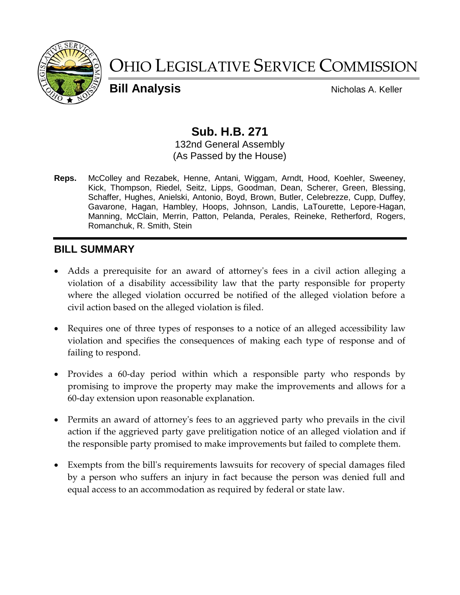

# OHIO LEGISLATIVE SERVICE COMMISSION

**Bill Analysis** Nicholas A. Keller

# **Sub. H.B. 271**

132nd General Assembly (As Passed by the House)

**Reps.** McColley and Rezabek, Henne, Antani, Wiggam, Arndt, Hood, Koehler, Sweeney, Kick, Thompson, Riedel, Seitz, Lipps, Goodman, Dean, Scherer, Green, Blessing, Schaffer, Hughes, Anielski, Antonio, Boyd, Brown, Butler, Celebrezze, Cupp, Duffey, Gavarone, Hagan, Hambley, Hoops, Johnson, Landis, LaTourette, Lepore-Hagan, Manning, McClain, Merrin, Patton, Pelanda, Perales, Reineke, Retherford, Rogers, Romanchuk, R. Smith, Stein

# **BILL SUMMARY**

- Adds a prerequisite for an award of attorney's fees in a civil action alleging a violation of a disability accessibility law that the party responsible for property where the alleged violation occurred be notified of the alleged violation before a civil action based on the alleged violation is filed.
- Requires one of three types of responses to a notice of an alleged accessibility law violation and specifies the consequences of making each type of response and of failing to respond.
- Provides a 60-day period within which a responsible party who responds by promising to improve the property may make the improvements and allows for a 60-day extension upon reasonable explanation.
- Permits an award of attorney's fees to an aggrieved party who prevails in the civil action if the aggrieved party gave prelitigation notice of an alleged violation and if the responsible party promised to make improvements but failed to complete them.
- Exempts from the bill's requirements lawsuits for recovery of special damages filed by a person who suffers an injury in fact because the person was denied full and equal access to an accommodation as required by federal or state law.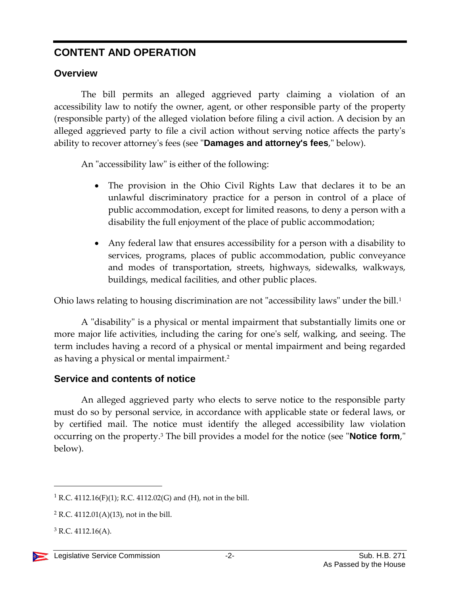# **CONTENT AND OPERATION**

# **Overview**

The bill permits an alleged aggrieved party claiming a violation of an accessibility law to notify the owner, agent, or other responsible party of the property (responsible party) of the alleged violation before filing a civil action. A decision by an alleged aggrieved party to file a civil action without serving notice affects the party's ability to recover attorney's fees (see "**Damages and attorney's fees**," below).

An "accessibility law" is either of the following:

- The provision in the Ohio Civil Rights Law that declares it to be an unlawful discriminatory practice for a person in control of a place of public accommodation, except for limited reasons, to deny a person with a disability the full enjoyment of the place of public accommodation;
- Any federal law that ensures accessibility for a person with a disability to services, programs, places of public accommodation, public conveyance and modes of transportation, streets, highways, sidewalks, walkways, buildings, medical facilities, and other public places.

Ohio laws relating to housing discrimination are not "accessibility laws" under the bill.<sup>1</sup>

A "disability" is a physical or mental impairment that substantially limits one or more major life activities, including the caring for one's self, walking, and seeing. The term includes having a record of a physical or mental impairment and being regarded as having a physical or mental impairment.<sup>2</sup>

# **Service and contents of notice**

An alleged aggrieved party who elects to serve notice to the responsible party must do so by personal service, in accordance with applicable state or federal laws, or by certified mail. The notice must identify the alleged accessibility law violation occurring on the property.<sup>3</sup> The bill provides a model for the notice (see "**Notice form**," below).

<sup>&</sup>lt;sup>1</sup> R.C. 4112.16(F)(1); R.C. 4112.02(G) and (H), not in the bill.

 $2$  R.C. 4112.01(A)(13), not in the bill.

 $3$  R.C. 4112.16(A).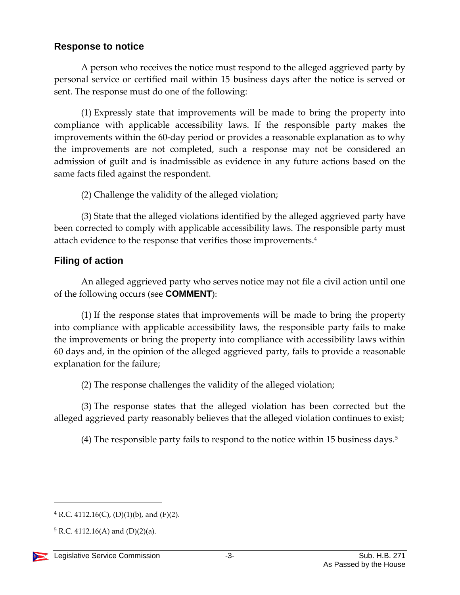### **Response to notice**

A person who receives the notice must respond to the alleged aggrieved party by personal service or certified mail within 15 business days after the notice is served or sent. The response must do one of the following:

(1) Expressly state that improvements will be made to bring the property into compliance with applicable accessibility laws. If the responsible party makes the improvements within the 60-day period or provides a reasonable explanation as to why the improvements are not completed, such a response may not be considered an admission of guilt and is inadmissible as evidence in any future actions based on the same facts filed against the respondent.

(2) Challenge the validity of the alleged violation;

(3) State that the alleged violations identified by the alleged aggrieved party have been corrected to comply with applicable accessibility laws. The responsible party must attach evidence to the response that verifies those improvements.<sup>4</sup>

## **Filing of action**

An alleged aggrieved party who serves notice may not file a civil action until one of the following occurs (see **COMMENT**):

(1) If the response states that improvements will be made to bring the property into compliance with applicable accessibility laws, the responsible party fails to make the improvements or bring the property into compliance with accessibility laws within 60 days and, in the opinion of the alleged aggrieved party, fails to provide a reasonable explanation for the failure;

(2) The response challenges the validity of the alleged violation;

(3) The response states that the alleged violation has been corrected but the alleged aggrieved party reasonably believes that the alleged violation continues to exist;

(4) The responsible party fails to respond to the notice within 15 business days.<sup>5</sup>

 $4$  R.C. 4112.16(C), (D)(1)(b), and (F)(2).

 $5 R.C. 4112.16(A)$  and  $(D)(2)(a)$ .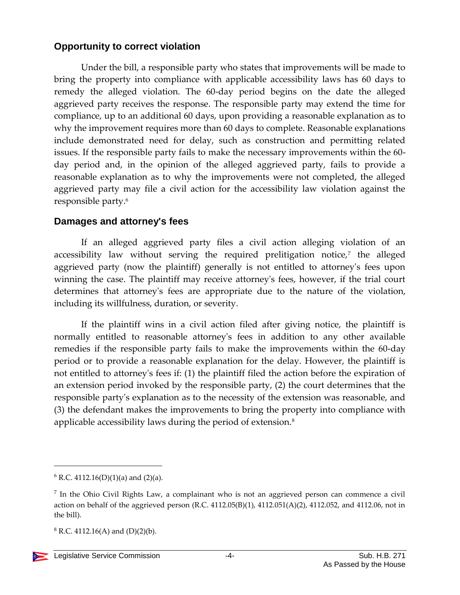### **Opportunity to correct violation**

Under the bill, a responsible party who states that improvements will be made to bring the property into compliance with applicable accessibility laws has 60 days to remedy the alleged violation. The 60-day period begins on the date the alleged aggrieved party receives the response. The responsible party may extend the time for compliance, up to an additional 60 days, upon providing a reasonable explanation as to why the improvement requires more than 60 days to complete. Reasonable explanations include demonstrated need for delay, such as construction and permitting related issues. If the responsible party fails to make the necessary improvements within the 60 day period and, in the opinion of the alleged aggrieved party, fails to provide a reasonable explanation as to why the improvements were not completed, the alleged aggrieved party may file a civil action for the accessibility law violation against the responsible party.<sup>6</sup>

#### **Damages and attorney's fees**

If an alleged aggrieved party files a civil action alleging violation of an accessibility law without serving the required prelitigation notice,<sup>7</sup> the alleged aggrieved party (now the plaintiff) generally is not entitled to attorney's fees upon winning the case. The plaintiff may receive attorney's fees, however, if the trial court determines that attorney's fees are appropriate due to the nature of the violation, including its willfulness, duration, or severity.

If the plaintiff wins in a civil action filed after giving notice, the plaintiff is normally entitled to reasonable attorney's fees in addition to any other available remedies if the responsible party fails to make the improvements within the 60-day period or to provide a reasonable explanation for the delay. However, the plaintiff is not entitled to attorney's fees if: (1) the plaintiff filed the action before the expiration of an extension period invoked by the responsible party, (2) the court determines that the responsible party's explanation as to the necessity of the extension was reasonable, and (3) the defendant makes the improvements to bring the property into compliance with applicable accessibility laws during the period of extension.<sup>8</sup>

 $8$  R.C. 4112.16(A) and (D)(2)(b).

 $6$  R.C. 4112.16(D)(1)(a) and (2)(a).

<sup>&</sup>lt;sup>7</sup> In the Ohio Civil Rights Law, a complainant who is not an aggrieved person can commence a civil action on behalf of the aggrieved person (R.C. 4112.05(B)(1), 4112.051(A)(2), 4112.052, and 4112.06, not in the bill).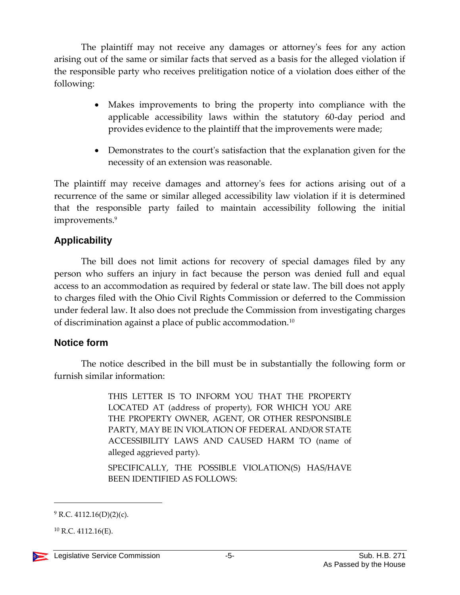The plaintiff may not receive any damages or attorney's fees for any action arising out of the same or similar facts that served as a basis for the alleged violation if the responsible party who receives prelitigation notice of a violation does either of the following:

- Makes improvements to bring the property into compliance with the applicable accessibility laws within the statutory 60-day period and provides evidence to the plaintiff that the improvements were made;
- Demonstrates to the court's satisfaction that the explanation given for the necessity of an extension was reasonable.

The plaintiff may receive damages and attorney's fees for actions arising out of a recurrence of the same or similar alleged accessibility law violation if it is determined that the responsible party failed to maintain accessibility following the initial improvements.<sup>9</sup>

#### **Applicability**

The bill does not limit actions for recovery of special damages filed by any person who suffers an injury in fact because the person was denied full and equal access to an accommodation as required by federal or state law. The bill does not apply to charges filed with the Ohio Civil Rights Commission or deferred to the Commission under federal law. It also does not preclude the Commission from investigating charges of discrimination against a place of public accommodation.<sup>10</sup>

#### **Notice form**

The notice described in the bill must be in substantially the following form or furnish similar information:

> THIS LETTER IS TO INFORM YOU THAT THE PROPERTY LOCATED AT (address of property), FOR WHICH YOU ARE THE PROPERTY OWNER, AGENT, OR OTHER RESPONSIBLE PARTY, MAY BE IN VIOLATION OF FEDERAL AND/OR STATE ACCESSIBILITY LAWS AND CAUSED HARM TO (name of alleged aggrieved party).

> SPECIFICALLY, THE POSSIBLE VIOLATION(S) HAS/HAVE BEEN IDENTIFIED AS FOLLOWS:

 $10$  R.C. 4112.16(E).



 $9$  R.C. 4112.16(D)(2)(c).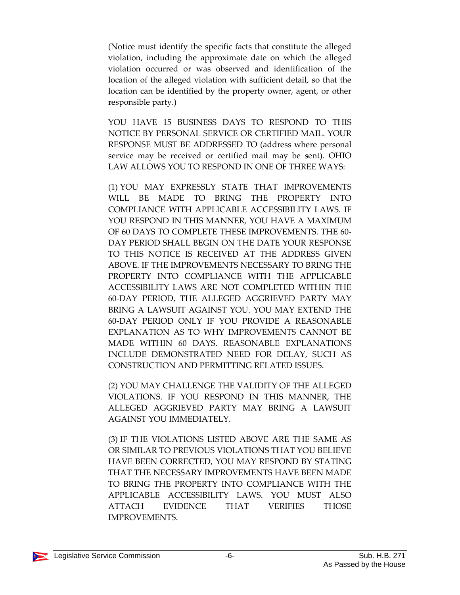(Notice must identify the specific facts that constitute the alleged violation, including the approximate date on which the alleged violation occurred or was observed and identification of the location of the alleged violation with sufficient detail, so that the location can be identified by the property owner, agent, or other responsible party.)

YOU HAVE 15 BUSINESS DAYS TO RESPOND TO THIS NOTICE BY PERSONAL SERVICE OR CERTIFIED MAIL. YOUR RESPONSE MUST BE ADDRESSED TO (address where personal service may be received or certified mail may be sent). OHIO LAW ALLOWS YOU TO RESPOND IN ONE OF THREE WAYS:

(1) YOU MAY EXPRESSLY STATE THAT IMPROVEMENTS WILL BE MADE TO BRING THE PROPERTY INTO COMPLIANCE WITH APPLICABLE ACCESSIBILITY LAWS. IF YOU RESPOND IN THIS MANNER, YOU HAVE A MAXIMUM OF 60 DAYS TO COMPLETE THESE IMPROVEMENTS. THE 60- DAY PERIOD SHALL BEGIN ON THE DATE YOUR RESPONSE TO THIS NOTICE IS RECEIVED AT THE ADDRESS GIVEN ABOVE. IF THE IMPROVEMENTS NECESSARY TO BRING THE PROPERTY INTO COMPLIANCE WITH THE APPLICABLE ACCESSIBILITY LAWS ARE NOT COMPLETED WITHIN THE 60-DAY PERIOD, THE ALLEGED AGGRIEVED PARTY MAY BRING A LAWSUIT AGAINST YOU. YOU MAY EXTEND THE 60-DAY PERIOD ONLY IF YOU PROVIDE A REASONABLE EXPLANATION AS TO WHY IMPROVEMENTS CANNOT BE MADE WITHIN 60 DAYS. REASONABLE EXPLANATIONS INCLUDE DEMONSTRATED NEED FOR DELAY, SUCH AS CONSTRUCTION AND PERMITTING RELATED ISSUES.

(2) YOU MAY CHALLENGE THE VALIDITY OF THE ALLEGED VIOLATIONS. IF YOU RESPOND IN THIS MANNER, THE ALLEGED AGGRIEVED PARTY MAY BRING A LAWSUIT AGAINST YOU IMMEDIATELY.

(3) IF THE VIOLATIONS LISTED ABOVE ARE THE SAME AS OR SIMILAR TO PREVIOUS VIOLATIONS THAT YOU BELIEVE HAVE BEEN CORRECTED, YOU MAY RESPOND BY STATING THAT THE NECESSARY IMPROVEMENTS HAVE BEEN MADE TO BRING THE PROPERTY INTO COMPLIANCE WITH THE APPLICABLE ACCESSIBILITY LAWS. YOU MUST ALSO ATTACH EVIDENCE THAT VERIFIES THOSE IMPROVEMENTS.